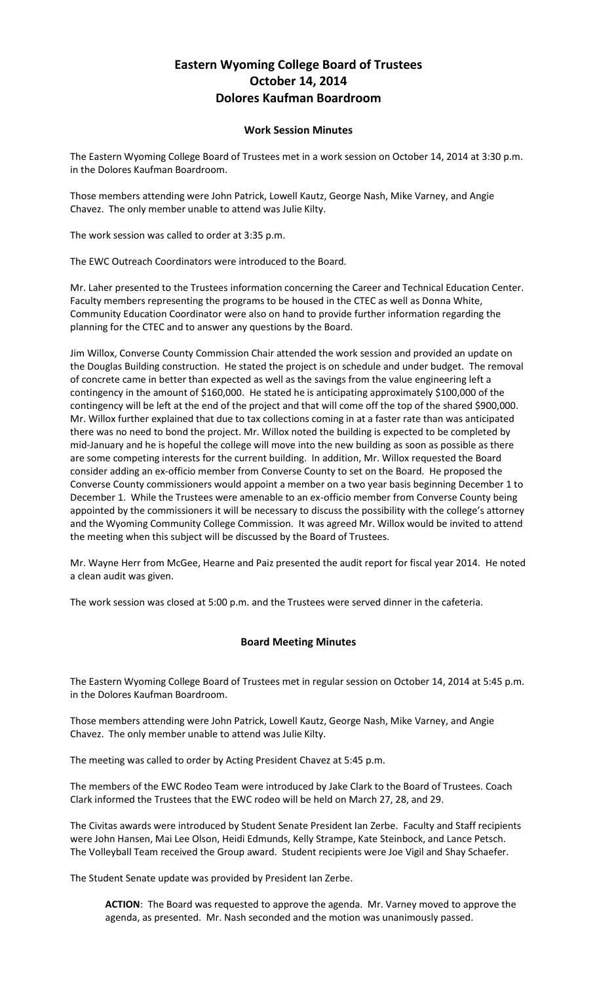## **Eastern Wyoming College Board of Trustees October 14, 2014 Dolores Kaufman Boardroom**

## **Work Session Minutes**

The Eastern Wyoming College Board of Trustees met in a work session on October 14, 2014 at 3:30 p.m. in the Dolores Kaufman Boardroom.

Those members attending were John Patrick, Lowell Kautz, George Nash, Mike Varney, and Angie Chavez. The only member unable to attend was Julie Kilty.

The work session was called to order at 3:35 p.m.

The EWC Outreach Coordinators were introduced to the Board.

Mr. Laher presented to the Trustees information concerning the Career and Technical Education Center. Faculty members representing the programs to be housed in the CTEC as well as Donna White, Community Education Coordinator were also on hand to provide further information regarding the planning for the CTEC and to answer any questions by the Board.

Jim Willox, Converse County Commission Chair attended the work session and provided an update on the Douglas Building construction. He stated the project is on schedule and under budget. The removal of concrete came in better than expected as well as the savings from the value engineering left a contingency in the amount of \$160,000. He stated he is anticipating approximately \$100,000 of the contingency will be left at the end of the project and that will come off the top of the shared \$900,000. Mr. Willox further explained that due to tax collections coming in at a faster rate than was anticipated there was no need to bond the project. Mr. Willox noted the building is expected to be completed by mid-January and he is hopeful the college will move into the new building as soon as possible as there are some competing interests for the current building. In addition, Mr. Willox requested the Board consider adding an ex-officio member from Converse County to set on the Board. He proposed the Converse County commissioners would appoint a member on a two year basis beginning December 1 to December 1. While the Trustees were amenable to an ex-officio member from Converse County being appointed by the commissioners it will be necessary to discuss the possibility with the college's attorney and the Wyoming Community College Commission. It was agreed Mr. Willox would be invited to attend the meeting when this subject will be discussed by the Board of Trustees.

Mr. Wayne Herr from McGee, Hearne and Paiz presented the audit report for fiscal year 2014. He noted a clean audit was given.

The work session was closed at 5:00 p.m. and the Trustees were served dinner in the cafeteria.

## **Board Meeting Minutes**

The Eastern Wyoming College Board of Trustees met in regular session on October 14, 2014 at 5:45 p.m. in the Dolores Kaufman Boardroom.

Those members attending were John Patrick, Lowell Kautz, George Nash, Mike Varney, and Angie Chavez. The only member unable to attend was Julie Kilty.

The meeting was called to order by Acting President Chavez at 5:45 p.m.

The members of the EWC Rodeo Team were introduced by Jake Clark to the Board of Trustees. Coach Clark informed the Trustees that the EWC rodeo will be held on March 27, 28, and 29.

The Civitas awards were introduced by Student Senate President Ian Zerbe. Faculty and Staff recipients were John Hansen, Mai Lee Olson, Heidi Edmunds, Kelly Strampe, Kate Steinbock, and Lance Petsch. The Volleyball Team received the Group award. Student recipients were Joe Vigil and Shay Schaefer.

The Student Senate update was provided by President Ian Zerbe.

**ACTION**: The Board was requested to approve the agenda. Mr. Varney moved to approve the agenda, as presented. Mr. Nash seconded and the motion was unanimously passed.